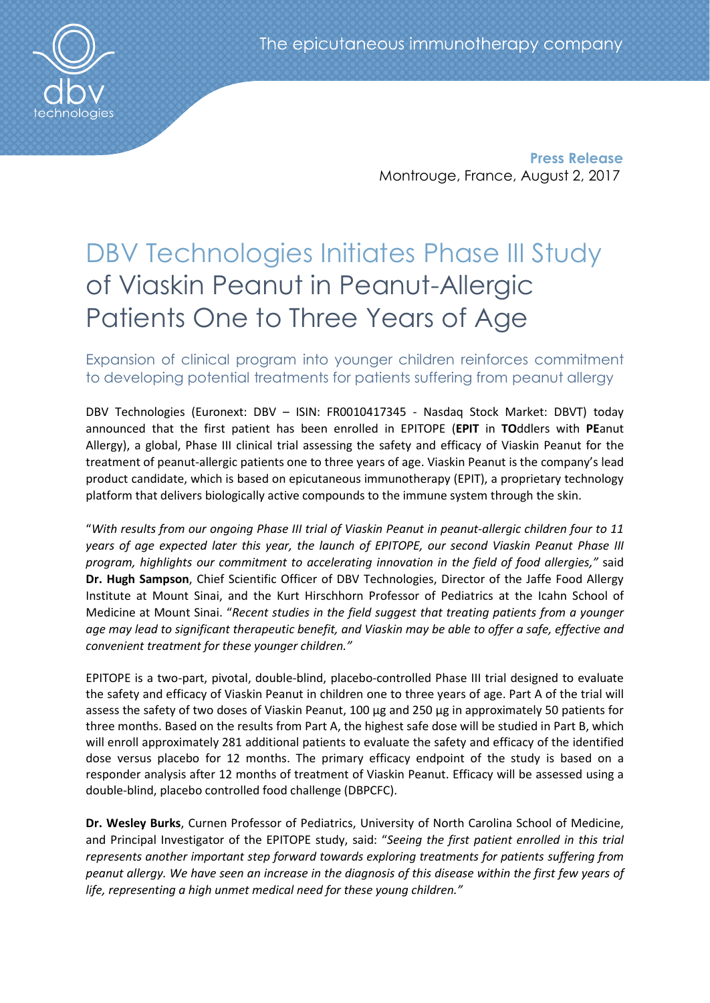**Press Release** Montrouge, France, August 2, 2017

# DBV Technologies Initiates Phase III Study of Viaskin Peanut in Peanut-Allergic Patients One to Three Years of Age

Expansion of clinical program into younger children reinforces commitment to developing potential treatments for patients suffering from peanut allergy

DBV Technologies (Euronext: DBV – ISIN: FR0010417345 - Nasdaq Stock Market: DBVT) today announced that the first patient has been enrolled in EPITOPE (**EPIT** in **TO**ddlers with **PE**anut Allergy), a global, Phase III clinical trial assessing the safety and efficacy of Viaskin Peanut for the treatment of peanut-allergic patients one to three years of age. Viaskin Peanut is the company's lead product candidate, which is based on epicutaneous immunotherapy (EPIT), a proprietary technology platform that delivers biologically active compounds to the immune system through the skin.

"*With results from our ongoing Phase III trial of Viaskin Peanut in peanut-allergic children four to 11 years of age expected later this year, the launch of EPITOPE, our second Viaskin Peanut Phase III program, highlights our commitment to accelerating innovation in the field of food allergies,"* said **Dr. Hugh Sampson**, Chief Scientific Officer of DBV Technologies, Director of the Jaffe Food Allergy Institute at Mount Sinai, and the Kurt Hirschhorn Professor of Pediatrics at the Icahn School of Medicine at Mount Sinai. "*Recent studies in the field suggest that treating patients from a younger age may lead to significant therapeutic benefit, and Viaskin may be able to offer a safe, effective and convenient treatment for these younger children."*

EPITOPE is a two-part, pivotal, double-blind, placebo-controlled Phase III trial designed to evaluate the safety and efficacy of Viaskin Peanut in children one to three years of age. Part A of the trial will assess the safety of two doses of Viaskin Peanut, 100 µg and 250 µg in approximately 50 patients for three months. Based on the results from Part A, the highest safe dose will be studied in Part B, which will enroll approximately 281 additional patients to evaluate the safety and efficacy of the identified dose versus placebo for 12 months. The primary efficacy endpoint of the study is based on a responder analysis after 12 months of treatment of Viaskin Peanut. Efficacy will be assessed using a double-blind, placebo controlled food challenge (DBPCFC).

**Dr. Wesley Burks**, Curnen Professor of Pediatrics, University of North Carolina School of Medicine, and Principal Investigator of the EPITOPE study, said: "*Seeing the first patient enrolled in this trial represents another important step forward towards exploring treatments for patients suffering from peanut allergy. We have seen an increase in the diagnosis of this disease within the first few years of life, representing a high unmet medical need for these young children."*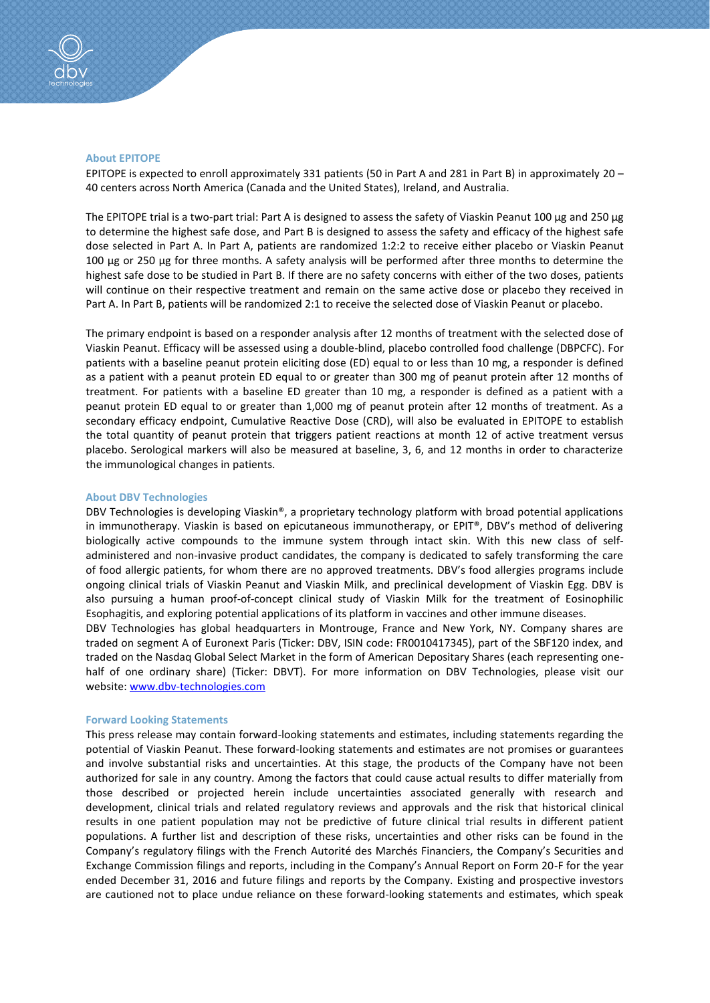### **About EPITOPE**

EPITOPE is expected to enroll approximately 331 patients (50 in Part A and 281 in Part B) in approximately 20 – 40 centers across North America (Canada and the United States), Ireland, and Australia.

The EPITOPE trial is a two-part trial: Part A is designed to assess the safety of Viaskin Peanut 100 µg and 250 µg to determine the highest safe dose, and Part B is designed to assess the safety and efficacy of the highest safe dose selected in Part A. In Part A, patients are randomized 1:2:2 to receive either placebo or Viaskin Peanut 100 μg or 250 μg for three months. A safety analysis will be performed after three months to determine the highest safe dose to be studied in Part B. If there are no safety concerns with either of the two doses, patients will continue on their respective treatment and remain on the same active dose or placebo they received in Part A. In Part B, patients will be randomized 2:1 to receive the selected dose of Viaskin Peanut or placebo.

The primary endpoint is based on a responder analysis after 12 months of treatment with the selected dose of Viaskin Peanut. Efficacy will be assessed using a double-blind, placebo controlled food challenge (DBPCFC). For patients with a baseline peanut protein eliciting dose (ED) equal to or less than 10 mg, a responder is defined as a patient with a peanut protein ED equal to or greater than 300 mg of peanut protein after 12 months of treatment. For patients with a baseline ED greater than 10 mg, a responder is defined as a patient with a peanut protein ED equal to or greater than 1,000 mg of peanut protein after 12 months of treatment. As a secondary efficacy endpoint, Cumulative Reactive Dose (CRD), will also be evaluated in EPITOPE to establish the total quantity of peanut protein that triggers patient reactions at month 12 of active treatment versus placebo. Serological markers will also be measured at baseline, 3, 6, and 12 months in order to characterize the immunological changes in patients.

#### **About DBV Technologies**

DBV Technologies is developing Viaskin®, a proprietary technology platform with broad potential applications in immunotherapy. Viaskin is based on epicutaneous immunotherapy, or EPIT®, DBV's method of delivering biologically active compounds to the immune system through intact skin. With this new class of selfadministered and non-invasive product candidates, the company is dedicated to safely transforming the care of food allergic patients, for whom there are no approved treatments. DBV's food allergies programs include ongoing clinical trials of Viaskin Peanut and Viaskin Milk, and preclinical development of Viaskin Egg. DBV is also pursuing a human proof-of-concept clinical study of Viaskin Milk for the treatment of Eosinophilic Esophagitis, and exploring potential applications of its platform in vaccines and other immune diseases.

DBV Technologies has global headquarters in Montrouge, France and New York, NY. Company shares are traded on segment A of Euronext Paris (Ticker: DBV, ISIN code: FR0010417345), part of the SBF120 index, and traded on the Nasdaq Global Select Market in the form of American Depositary Shares (each representing onehalf of one ordinary share) (Ticker: DBVT). For more information on DBV Technologies, please visit our website: [www.dbv-technologies.com](http://www.dbv-technologies.com/)

#### **Forward Looking Statements**

This press release may contain forward-looking statements and estimates, including statements regarding the potential of Viaskin Peanut. These forward-looking statements and estimates are not promises or guarantees and involve substantial risks and uncertainties. At this stage, the products of the Company have not been authorized for sale in any country. Among the factors that could cause actual results to differ materially from those described or projected herein include uncertainties associated generally with research and development, clinical trials and related regulatory reviews and approvals and the risk that historical clinical results in one patient population may not be predictive of future clinical trial results in different patient populations. A further list and description of these risks, uncertainties and other risks can be found in the Company's regulatory filings with the French Autorité des Marchés Financiers, the Company's Securities and Exchange Commission filings and reports, including in the Company's Annual Report on Form 20-F for the year ended December 31, 2016 and future filings and reports by the Company. Existing and prospective investors are cautioned not to place undue reliance on these forward-looking statements and estimates, which speak